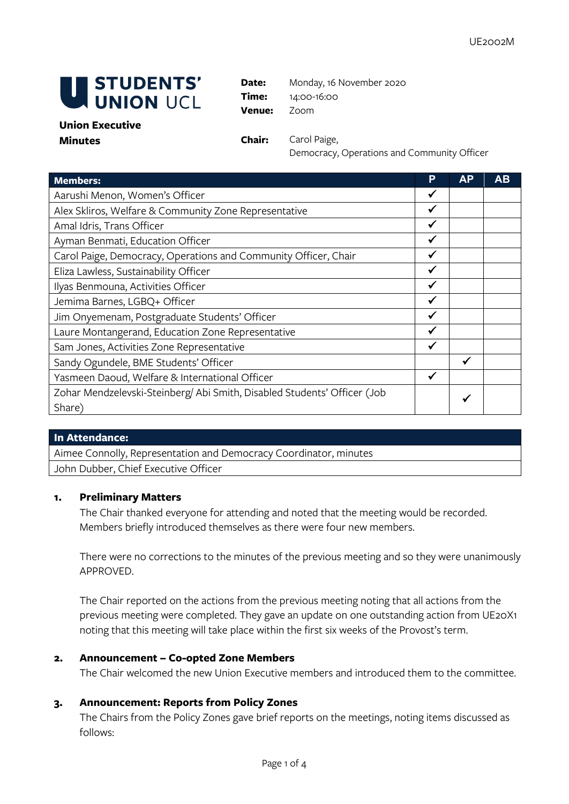

Date: Monday, 16 November 2020 **Time:** 14:00-16:00 **Venue:** Zoom

### **Union Executive Minutes Chair:** Carol Paige,

Democracy, Operations and Community Officer

| <b>Members:</b>                                                          | P            | <b>AP</b> | AB |
|--------------------------------------------------------------------------|--------------|-----------|----|
| Aarushi Menon, Women's Officer                                           | ✔            |           |    |
| Alex Skliros, Welfare & Community Zone Representative                    | ✔            |           |    |
| Amal Idris, Trans Officer                                                | ✔            |           |    |
| Ayman Benmati, Education Officer                                         | $\checkmark$ |           |    |
| Carol Paige, Democracy, Operations and Community Officer, Chair          |              |           |    |
| Eliza Lawless, Sustainability Officer                                    |              |           |    |
| Ilyas Benmouna, Activities Officer                                       | $\checkmark$ |           |    |
| Jemima Barnes, LGBQ+ Officer                                             |              |           |    |
| Jim Onyemenam, Postgraduate Students' Officer                            |              |           |    |
| Laure Montangerand, Education Zone Representative                        | $\checkmark$ |           |    |
| Sam Jones, Activities Zone Representative                                |              |           |    |
| Sandy Ogundele, BME Students' Officer                                    |              | ✔         |    |
| Yasmeen Daoud, Welfare & International Officer                           | ✔            |           |    |
| Zohar Mendzelevski-Steinberg/ Abi Smith, Disabled Students' Officer (Job |              |           |    |
| Share)                                                                   |              |           |    |

# **In Attendance:**

Aimee Connolly, Representation and Democracy Coordinator, minutes John Dubber, Chief Executive Officer

# **1. Preliminary Matters**

The Chair thanked everyone for attending and noted that the meeting would be recorded. Members briefly introduced themselves as there were four new members.

There were no corrections to the minutes of the previous meeting and so they were unanimously APPROVED.

The Chair reported on the actions from the previous meeting noting that all actions from the previous meeting were completed. They gave an update on one outstanding action from UE20X1 noting that this meeting will take place within the first six weeks of the Provost's term.

### **2. Announcement – Co-opted Zone Members**

The Chair welcomed the new Union Executive members and introduced them to the committee.

# **3. Announcement: Reports from Policy Zones**

The Chairs from the Policy Zones gave brief reports on the meetings, noting items discussed as follows: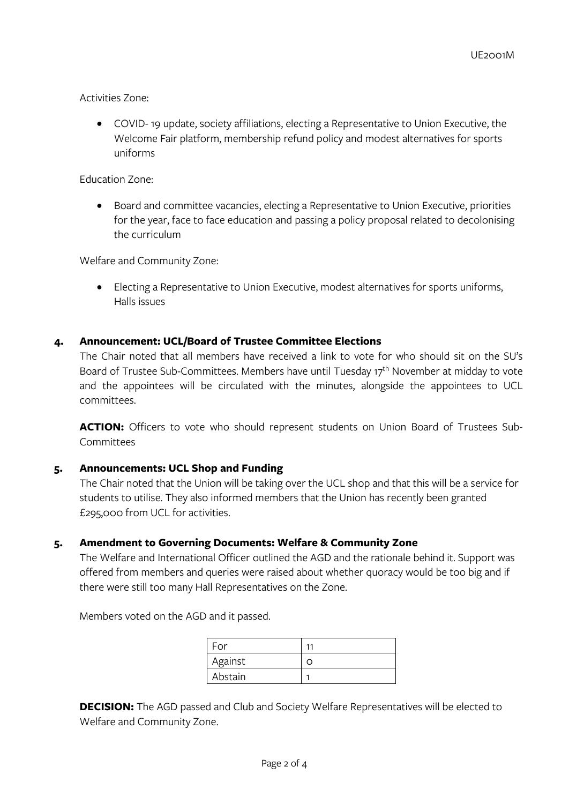Activities Zone:

• COVID- 19 update, society affiliations, electing a Representative to Union Executive, the Welcome Fair platform, membership refund policy and modest alternatives for sports uniforms

Education Zone:

• Board and committee vacancies, electing a Representative to Union Executive, priorities for the year, face to face education and passing a policy proposal related to decolonising the curriculum

Welfare and Community Zone:

• Electing a Representative to Union Executive, modest alternatives for sports uniforms, Halls issues

# **4. Announcement: UCL/Board of Trustee Committee Elections**

The Chair noted that all members have received a link to vote for who should sit on the SU's Board of Trustee Sub-Committees. Members have until Tuesday 17<sup>th</sup> November at midday to vote and the appointees will be circulated with the minutes, alongside the appointees to UCL committees.

**ACTION:** Officers to vote who should represent students on Union Board of Trustees Sub-Committees

# **5. Announcements: UCL Shop and Funding**

The Chair noted that the Union will be taking over the UCL shop and that this will be a service for students to utilise. They also informed members that the Union has recently been granted £295,000 from UCL for activities.

# **5. Amendment to Governing Documents: Welfare & Community Zone**

The Welfare and International Officer outlined the AGD and the rationale behind it. Support was offered from members and queries were raised about whether quoracy would be too big and if there were still too many Hall Representatives on the Zone.

Members voted on the AGD and it passed.

| For     | 11 |
|---------|----|
| Against |    |
| Abstain |    |

**DECISION:** The AGD passed and Club and Society Welfare Representatives will be elected to Welfare and Community Zone.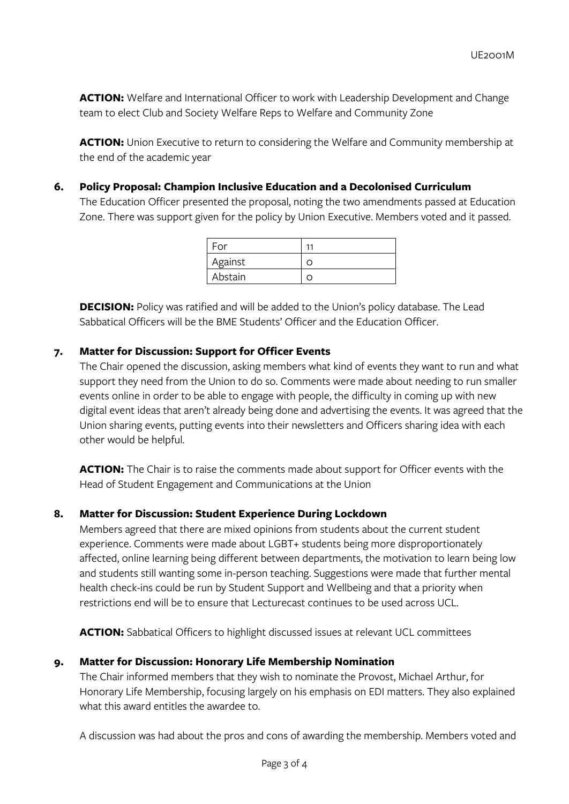ACTION: Welfare and International Officer to work with Leadership Development and Change team to elect Club and Society Welfare Reps to Welfare and Community Zone

**ACTION:** Union Executive to return to considering the Welfare and Community membership at the end of the academic year

# **6. Policy Proposal: Champion Inclusive Education and a Decolonised Curriculum**

The Education Officer presented the proposal, noting the two amendments passed at Education Zone. There was support given for the policy by Union Executive. Members voted and it passed.

| For     | 11 |
|---------|----|
| Against |    |
| Abstain |    |

**DECISION:** Policy was ratified and will be added to the Union's policy database. The Lead Sabbatical Officers will be the BME Students' Officer and the Education Officer.

### **7. Matter for Discussion: Support for Officer Events**

The Chair opened the discussion, asking members what kind of events they want to run and what support they need from the Union to do so. Comments were made about needing to run smaller events online in order to be able to engage with people, the difficulty in coming up with new digital event ideas that aren't already being done and advertising the events. It was agreed that the Union sharing events, putting events into their newsletters and Officers sharing idea with each other would be helpful.

**ACTION:** The Chair is to raise the comments made about support for Officer events with the Head of Student Engagement and Communications at the Union

# **8. Matter for Discussion: Student Experience During Lockdown**

Members agreed that there are mixed opinions from students about the current student experience. Comments were made about LGBT+ students being more disproportionately affected, online learning being different between departments, the motivation to learn being low and students still wanting some in-person teaching. Suggestions were made that further mental health check-ins could be run by Student Support and Wellbeing and that a priority when restrictions end will be to ensure that Lecturecast continues to be used across UCL.

**ACTION:** Sabbatical Officers to highlight discussed issues at relevant UCL committees

### **9. Matter for Discussion: Honorary Life Membership Nomination**

The Chair informed members that they wish to nominate the Provost, Michael Arthur, for Honorary Life Membership, focusing largely on his emphasis on EDI matters. They also explained what this award entitles the awardee to.

A discussion was had about the pros and cons of awarding the membership. Members voted and